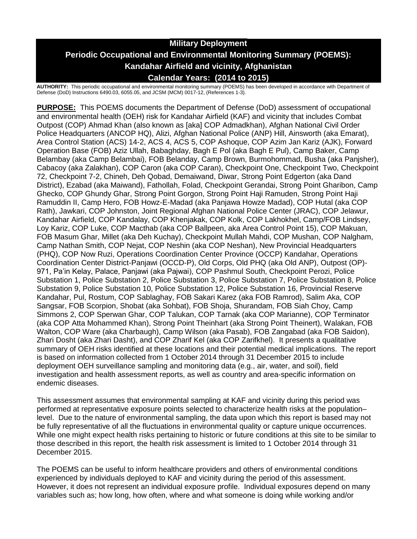# **Military Deployment Periodic Occupational and Environmental Monitoring Summary (POEMS): Kandahar Airfield and vicinity, Afghanistan Calendar Years: (2014 to 2015)**

**AUTHORITY:** This periodic occupational and environmental monitoring summary (POEMS) has been developed in accordance with Department of Defense (DoD) Instructions 6490.03, 6055.05, and JCSM (MCM) 0017-12, (References 1-3).

**PURPOSE:** This POEMS documents the Department of Defense (DoD) assessment of occupational and environmental health (OEH) risk for Kandahar Airfield (KAF) and vicinity that includes Combat Outpost (COP) Ahmad Khan (also known as [aka] COP Admadkhan), Afghan National Civil Order Police Headquarters (ANCOP HQ), Alizi, Afghan National Police (ANP) Hill, Ainsworth (aka Emarat), Area Control Station (ACS) 14-2, ACS 4, ACS 5, COP Ashoque, COP Azim Jan Kariz (AJK), Forward Operation Base (FOB) Aziz Ullah, Babaghday, Bagh E Pol (aka Bagh E Pul), Camp Baker, Camp Belambay (aka Camp Belambai), FOB Belanday, Camp Brown, Burmohommad, Busha (aka Panjsher), Cabacoy (aka Zalakhan), COP Caron (aka COP Caran), Checkpoint One, Checkpoint Two, Checkpoint 72, Checkpoint 7-2, Chineh, Deh Qobad, Demaiwand, Diwar, Strong Point Edgerton (aka Dand District), Ezabad (aka Maiwand), Fathollah, Folad, Checkpoint Gerandai, Strong Point Gharibon, Camp Ghecko, COP Ghundy Ghar, Strong Point Gorgon, Strong Point Haji Ramuden, Strong Point Haji Ramuddin II, Camp Hero, FOB Howz-E-Madad (aka Panjawa Howze Madad), COP Hutal (aka COP Rath), Jawkari, COP Johnston, Joint Regional Afghan National Police Center (JRAC), COP Jelawur, Kandahar Airfield, COP Kandalay, COP Khenjakak, COP Kolk, COP Lakhokhel, Camp/FOB Lindsey, Loy Kariz, COP Luke, COP Macthab (aka COP Ballpeen, aka Area Control Point 15), COP Makuan, FOB Masum Ghar, Millet (aka Deh Kuchay), Checkpoint Mullah Mahdi, COP Mushan, COP Nalgham, Camp Nathan Smith, COP Nejat, COP Neshin (aka COP Neshan), New Provincial Headquarters (PHQ), COP Now Ruzi, Operations Coordination Center Province (OCCP) Kandahar, Operations Coordination Center District-Panjawi (OCCD-P), Old Corps, Old PHQ (aka Old ANP), Outpost (OP)- 971, Pa'in Kelay, Palace, Panjawi (aka Pajwai), COP Pashmul South, Checkpoint Perozi, Police Substation 1, Police Substation 2, Police Substation 3, Police Substation 7, Police Substation 8, Police Substation 9, Police Substation 10, Police Substation 12, Police Substation 16, Provincial Reserve Kandahar, Pul, Rostum, COP Sablaghay, FOB Sakari Karez (aka FOB Ramrod), Salim Aka, COP Sangsar, FOB Scorpion, Shobat (aka Sohbat), FOB Shoja, Shurandam, FOB Siah Choy, Camp Simmons 2, COP Sperwan Ghar, COP Talukan, COP Tarnak (aka COP Marianne), COP Terminator (aka COP Atta Mohammed Khan), Strong Point Theinhart (aka Strong Point Theinert), Walakan, FOB Walton, COP Ware (aka Charbaugh), Camp Wilson (aka Pasab), FOB Zangabad (aka FOB Saidon), Zhari Dosht (aka Zhari Dasht), and COP Zharif Kel (aka COP Zarifkhel). It presents a qualitative summary of OEH risks identified at these locations and their potential medical implications. The report is based on information collected from 1 October 2014 through 31 December 2015 to include deployment OEH surveillance sampling and monitoring data (e.g., air, water, and soil), field investigation and health assessment reports, as well as country and area-specific information on endemic diseases.

This assessment assumes that environmental sampling at KAF and vicinity during this period was performed at representative exposure points selected to characterize health risks at the population– level. Due to the nature of environmental sampling, the data upon which this report is based may not be fully representative of all the fluctuations in environmental quality or capture unique occurrences. While one might expect health risks pertaining to historic or future conditions at this site to be similar to those described in this report, the health risk assessment is limited to 1 October 2014 through 31 December 2015.

The POEMS can be useful to inform healthcare providers and others of environmental conditions experienced by individuals deployed to KAF and vicinity during the period of this assessment. However, it does not represent an individual exposure profile. Individual exposures depend on many variables such as; how long, how often, where and what someone is doing while working and/or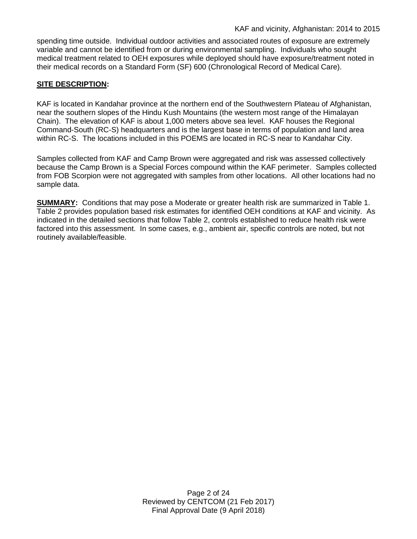spending time outside. Individual outdoor activities and associated routes of exposure are extremely variable and cannot be identified from or during environmental sampling. Individuals who sought medical treatment related to OEH exposures while deployed should have exposure/treatment noted in their medical records on a Standard Form (SF) 600 (Chronological Record of Medical Care).

# **SITE DESCRIPTION:**

KAF is located in Kandahar province at the northern end of the Southwestern Plateau of Afghanistan, near the southern slopes of the Hindu Kush Mountains (the western most range of the Himalayan Chain). The elevation of KAF is about 1,000 meters above sea level. KAF houses the Regional Command-South (RC-S) headquarters and is the largest base in terms of population and land area within RC-S. The locations included in this POEMS are located in RC-S near to Kandahar City.

Samples collected from KAF and Camp Brown were aggregated and risk was assessed collectively because the Camp Brown is a Special Forces compound within the KAF perimeter. Samples collected from FOB Scorpion were not aggregated with samples from other locations. All other locations had no sample data.

**SUMMARY:** Conditions that may pose a Moderate or greater health risk are summarized in Table 1. Table 2 provides population based risk estimates for identified OEH conditions at KAF and vicinity. As indicated in the detailed sections that follow Table 2, controls established to reduce health risk were factored into this assessment. In some cases, e.g., ambient air, specific controls are noted, but not routinely available/feasible.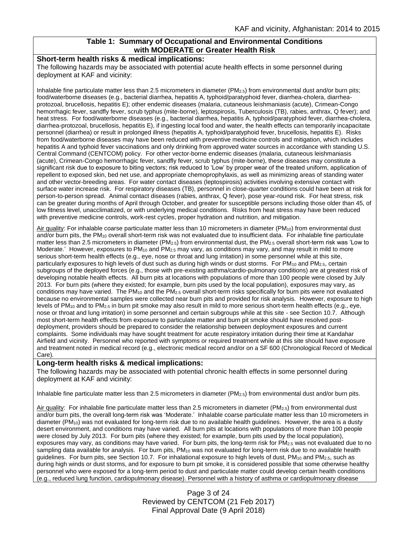# **Table 1: Summary of Occupational and Environmental Conditions with MODERATE or Greater Health Risk**

#### **Short-term health risks & medical implications:**

The following hazards may be associated with potential acute health effects in some personnel during deployment at KAF and vicinity:

Inhalable fine particulate matter less than 2.5 micrometers in diameter ( $PM_{2.5}$ ) from environmental dust and/or burn pits; food/waterborne diseases (e.g., bacterial diarrhea, hepatitis A, typhoid/paratyphoid fever, diarrhea-cholera, diarrheaprotozoal, brucellosis, hepatitis E); other endemic diseases (malaria, cutaneous leishmaniasis (acute), Crimean-Congo hemorrhagic fever, sandfly fever, scrub typhus (mite-borne), leptospirosis, Tuberculosis (TB), rabies, anthrax, Q fever); and heat stress. For food/waterborne diseases (e.g., bacterial diarrhea, hepatitis A, typhoid/paratyphoid fever, diarrhea-cholera, diarrhea-protozoal, brucellosis, hepatitis E), if ingesting local food and water, the health effects can temporarily incapacitate personnel (diarrhea) or result in prolonged illness (hepatitis A, typhoid/paratyphoid fever, brucellosis, hepatitis E). Risks from food/waterborne diseases may have been reduced with preventive medicine controls and mitigation, which includes hepatitis A and typhoid fever vaccinations and only drinking from approved water sources in accordance with standing U.S. Central Command (CENTCOM) policy. For other vector-borne endemic diseases (malaria, cutaneous leishmaniasis (acute), Crimean-Congo hemorrhagic fever, sandfly fever, scrub typhus (mite-borne), these diseases may constitute a significant risk due to exposure to biting vectors; risk reduced to 'Low' by proper wear of the treated uniform, application of repellent to exposed skin, bed net use, and appropriate chemoprophylaxis, as well as minimizing areas of standing water and other vector-breeding areas. For water contact diseases (leptospirosis) activities involving extensive contact with surface water increase risk. For respiratory diseases (TB), personnel in close-quarter conditions could have been at risk for person-to-person spread. Animal contact diseases (rabies, anthrax, Q fever), pose year-round risk. For heat stress, risk can be greater during months of April through October, and greater for susceptible persons including those older than 45, of low fitness level, unacclimatized, or with underlying medical conditions. Risks from heat stress may have been reduced with preventive medicine controls, work-rest cycles, proper hydration and nutrition, and mitigation.

Air quality: For inhalable coarse particulate matter less than 10 micrometers in diameter (PM<sub>10</sub>) from environmental dust and/or burn pits, the  $PM_{10}$  overall short-term risk was not evaluated due to insufficient data. For inhalable fine particulate matter less than 2.5 micrometers in diameter (PM2.5) from environmental dust, the PM2.5 overall short-term risk was 'Low to Moderate.' However, exposures to PM<sub>10</sub> and PM<sub>2.5</sub> may vary, as conditions may vary, and may result in mild to more serious short-term health effects (e.g., eye, nose or throat and lung irritation) in some personnel while at this site, particularly exposures to high levels of dust such as during high winds or dust storms. For PM<sub>10</sub> and PM<sub>2.5</sub>, certain subgroups of the deployed forces (e.g., those with pre-existing asthma/cardio-pulmonary conditions) are at greatest risk of developing notable health effects. All burn pits at locations with populations of more than 100 people were closed by July 2013. For burn pits (where they existed; for example, burn pits used by the local population), exposures may vary, as conditions may have varied. The PM<sub>10</sub> and the PM<sub>2.5</sub> overall short-term risks specifically for burn pits were not evaluated because no environmental samples were collected near burn pits and provided for risk analysis. However, exposure to high levels of PM<sub>10</sub> and to PM<sub>2.5</sub> in burn pit smoke may also result in mild to more serious short-term health effects (e.g., eye, nose or throat and lung irritation) in some personnel and certain subgroups while at this site - see Section 10.7. Although most short-term health effects from exposure to particulate matter and burn pit smoke should have resolved postdeployment, providers should be prepared to consider the relationship between deployment exposures and current complaints. Some individuals may have sought treatment for acute respiratory irritation during their time at Kandahar Airfield and vicinity. Personnel who reported with symptoms or required treatment while at this site should have exposure and treatment noted in medical record (e.g., electronic medical record and/or on a SF 600 (Chronological Record of Medical Care).

# **Long-term health risks & medical implications:**

The following hazards may be associated with potential chronic health effects in some personnel during deployment at KAF and vicinity:

Inhalable fine particulate matter less than 2.5 micrometers in diameter (PM<sub>2.5</sub>) from environmental dust and/or burn pits.

Air quality: For inhalable fine particulate matter less than 2.5 micrometers in diameter (PM $_{2.5}$ ) from environmental dust and/or burn pits, the overall long-term risk was 'Moderate.' Inhalable coarse particulate matter less than 10 micrometers in diameter (PM10) was not evaluated for long-term risk due to no available health guidelines. However, the area is a dusty desert environment, and conditions may have varied. All burn pits at locations with populations of more than 100 people were closed by July 2013. For burn pits (where they existed; for example, burn pits used by the local population), exposures may vary, as conditions may have varied. For burn pits, the long-term risk for  $PM_{2.5}$  was not evaluated due to no sampling data available for analysis. For burn pits, PM<sub>10</sub> was not evaluated for long-term risk due to no available health guidelines. For burn pits, see Section 10.7. For inhalational exposure to high levels of dust, PM<sub>10</sub> and PM<sub>2.5</sub>, such as during high winds or dust storms, and for exposure to burn pit smoke, it is considered possible that some otherwise healthy personnel who were exposed for a long-term period to dust and particulate matter could develop certain health conditions (e.g., reduced lung function, cardiopulmonary disease). Personnel with a history of asthma or cardiopulmonary disease

> Page 3 of 24 Reviewed by CENTCOM (21 Feb 2017) Final Approval Date (9 April 2018)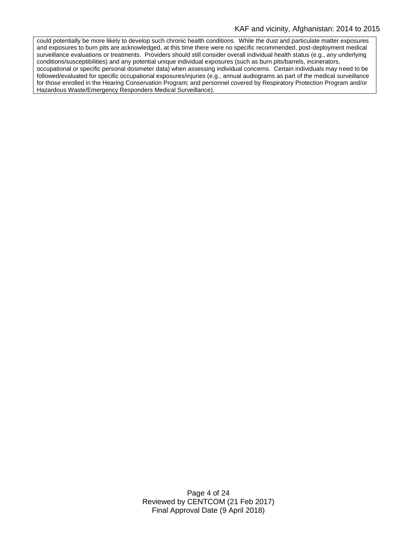could potentially be more likely to develop such chronic health conditions. While the dust and particulate matter exposures and exposures to burn pits are acknowledged, at this time there were no specific recommended, post-deployment medical surveillance evaluations or treatments. Providers should still consider overall individual health status (e.g., any underlying conditions/susceptibilities) and any potential unique individual exposures (such as burn pits/barrels, incinerators, occupational or specific personal dosimeter data) when assessing individual concerns. Certain individuals may need to be followed/evaluated for specific occupational exposures/injuries (e.g., annual audiograms as part of the medical surveillance for those enrolled in the Hearing Conservation Program; and personnel covered by Respiratory Protection Program and/or Hazardous Waste/Emergency Responders Medical Surveillance).

> Page 4 of 24 Reviewed by CENTCOM (21 Feb 2017) Final Approval Date (9 April 2018)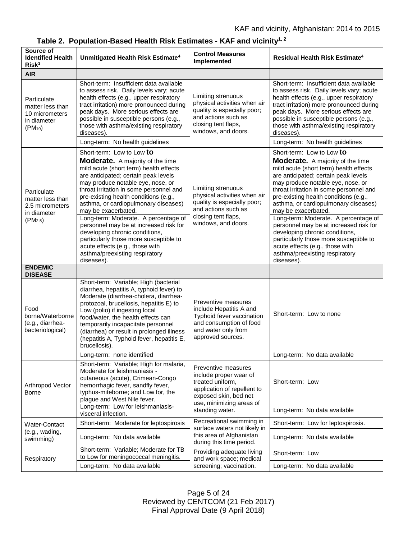| Source of<br><b>Identified Health</b><br>Risk <sup>3</sup>                                | Unmitigated Health Risk Estimate <sup>4</sup>                                                                                                                                                                                                                                                                                                                                                                                                                                                                                                   | <b>Control Measures</b><br><b>Implemented</b>                                                                                                                            | Residual Health Risk Estimate <sup>4</sup>                                                                                                                                                                                                                                                                                                                                                                                                                                                                                                      |
|-------------------------------------------------------------------------------------------|-------------------------------------------------------------------------------------------------------------------------------------------------------------------------------------------------------------------------------------------------------------------------------------------------------------------------------------------------------------------------------------------------------------------------------------------------------------------------------------------------------------------------------------------------|--------------------------------------------------------------------------------------------------------------------------------------------------------------------------|-------------------------------------------------------------------------------------------------------------------------------------------------------------------------------------------------------------------------------------------------------------------------------------------------------------------------------------------------------------------------------------------------------------------------------------------------------------------------------------------------------------------------------------------------|
| <b>AIR</b>                                                                                |                                                                                                                                                                                                                                                                                                                                                                                                                                                                                                                                                 |                                                                                                                                                                          |                                                                                                                                                                                                                                                                                                                                                                                                                                                                                                                                                 |
| Particulate<br>matter less than<br>10 micrometers<br>in diameter<br>$(PM_{10})$           | Short-term: Insufficient data available<br>to assess risk. Daily levels vary; acute<br>health effects (e.g., upper respiratory<br>tract irritation) more pronounced during<br>peak days. More serious effects are<br>possible in susceptible persons (e.g.,<br>those with asthma/existing respiratory<br>diseases).                                                                                                                                                                                                                             | Limiting strenuous<br>physical activities when air<br>quality is especially poor;<br>and actions such as<br>closing tent flaps,<br>windows, and doors.                   | Short-term: Insufficient data available<br>to assess risk. Daily levels vary; acute<br>health effects (e.g., upper respiratory<br>tract irritation) more pronounced during<br>peak days. More serious effects are<br>possible in susceptible persons (e.g.,<br>those with asthma/existing respiratory<br>diseases)                                                                                                                                                                                                                              |
|                                                                                           | Long-term: No health guidelines                                                                                                                                                                                                                                                                                                                                                                                                                                                                                                                 |                                                                                                                                                                          | Long-term: No health guidelines                                                                                                                                                                                                                                                                                                                                                                                                                                                                                                                 |
| Particulate<br>matter less than<br>2.5 micrometers<br>in diameter<br>(PM <sub>2.5</sub> ) | Short-term: Low to Low to<br><b>Moderate.</b> A majority of the time<br>mild acute (short term) health effects<br>are anticipated; certain peak levels<br>may produce notable eye, nose, or<br>throat irritation in some personnel and<br>pre-existing health conditions (e.g.,<br>asthma, or cardiopulmonary diseases)<br>may be exacerbated.<br>Long-term: Moderate. A percentage of<br>personnel may be at increased risk for<br>developing chronic conditions,<br>particularly those more susceptible to<br>acute effects (e.g., those with | Limiting strenuous<br>physical activities when air<br>quality is especially poor;<br>and actions such as<br>closing tent flaps,<br>windows, and doors.                   | Short-term: Low to Low to<br><b>Moderate.</b> A majority of the time<br>mild acute (short term) health effects<br>are anticipated; certain peak levels<br>may produce notable eye, nose, or<br>throat irritation in some personnel and<br>pre-existing health conditions (e.g.,<br>asthma, or cardiopulmonary diseases)<br>may be exacerbated.<br>Long-term: Moderate. A percentage of<br>personnel may be at increased risk for<br>developing chronic conditions,<br>particularly those more susceptible to<br>acute effects (e.g., those with |
| <b>ENDEMIC</b>                                                                            | asthma/preexisting respiratory<br>diseases).                                                                                                                                                                                                                                                                                                                                                                                                                                                                                                    |                                                                                                                                                                          | asthma/preexisting respiratory<br>diseases).                                                                                                                                                                                                                                                                                                                                                                                                                                                                                                    |
| <b>DISEASE</b>                                                                            |                                                                                                                                                                                                                                                                                                                                                                                                                                                                                                                                                 |                                                                                                                                                                          |                                                                                                                                                                                                                                                                                                                                                                                                                                                                                                                                                 |
| Food<br>borne/Waterborne<br>(e.g., diarrhea-<br>bacteriological)                          | Short-term: Variable; High (bacterial<br>diarrhea, hepatitis A, typhoid fever) to<br>Moderate (diarrhea-cholera, diarrhea-<br>protozoal, brucellosis, hepatitis E) to<br>Low (polio) if ingesting local<br>food/water, the health effects can<br>temporarily incapacitate personnel<br>(diarrhea) or result in prolonged illness<br>(hepatitis A, Typhoid fever, hepatitis E,<br>brucellosis).                                                                                                                                                  | Preventive measures<br>include Hepatitis A and<br>Typhoid fever vaccination<br>and consumption of food<br>and water only from<br>approved sources.                       | Short-term: Low to none                                                                                                                                                                                                                                                                                                                                                                                                                                                                                                                         |
|                                                                                           | Long-term: none identified                                                                                                                                                                                                                                                                                                                                                                                                                                                                                                                      |                                                                                                                                                                          | Long-term: No data available                                                                                                                                                                                                                                                                                                                                                                                                                                                                                                                    |
| Arthropod Vector<br>Borne                                                                 | Short-term: Variable; High for malaria,<br>Moderate for leishmaniasis -<br>cutaneous (acute), Crimean-Congo<br>hemorrhagic fever, sandfly fever,<br>typhus-miteborne; and Low for, the<br>plague and West Nile fever.                                                                                                                                                                                                                                                                                                                           | Preventive measures<br>include proper wear of<br>treated uniform,<br>application of repellent to<br>exposed skin, bed net<br>use, minimizing areas of<br>standing water. | Short-term: Low                                                                                                                                                                                                                                                                                                                                                                                                                                                                                                                                 |
|                                                                                           | Long-term: Low for leishmaniasis-<br>visceral infection.                                                                                                                                                                                                                                                                                                                                                                                                                                                                                        |                                                                                                                                                                          | Long-term: No data available                                                                                                                                                                                                                                                                                                                                                                                                                                                                                                                    |
| Water-Contact<br>(e.g., wading,<br>swimming)                                              | Short-term: Moderate for leptospirosis                                                                                                                                                                                                                                                                                                                                                                                                                                                                                                          | Recreational swimming in<br>surface waters not likely in<br>this area of Afghanistan<br>during this time period.                                                         | Short-term: Low for leptospirosis.                                                                                                                                                                                                                                                                                                                                                                                                                                                                                                              |
|                                                                                           | Long-term: No data available                                                                                                                                                                                                                                                                                                                                                                                                                                                                                                                    |                                                                                                                                                                          | Long-term: No data available                                                                                                                                                                                                                                                                                                                                                                                                                                                                                                                    |
| Respiratory                                                                               | Short-term: Variable; Moderate for TB<br>to Low for meningococcal meningitis.                                                                                                                                                                                                                                                                                                                                                                                                                                                                   | Providing adequate living<br>and work space; medical<br>screening; vaccination.                                                                                          | Short-term: Low                                                                                                                                                                                                                                                                                                                                                                                                                                                                                                                                 |
|                                                                                           | Long-term: No data available                                                                                                                                                                                                                                                                                                                                                                                                                                                                                                                    |                                                                                                                                                                          | Long-term: No data available                                                                                                                                                                                                                                                                                                                                                                                                                                                                                                                    |

# **Table 2. Population-Based Health Risk Estimates - KAF and vicinity1, 2**

Page 5 of 24 Reviewed by CENTCOM (21 Feb 2017) Final Approval Date (9 April 2018)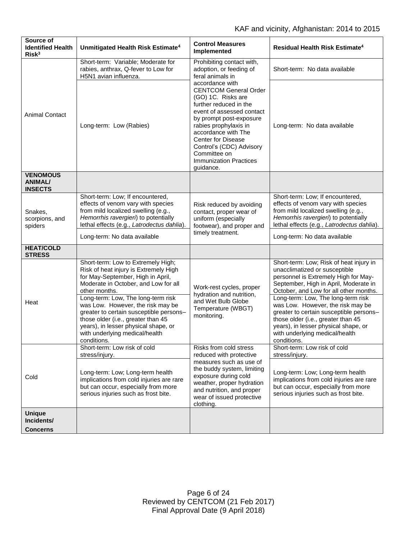| Source of<br><b>Identified Health</b><br>Risk <sup>3</sup> | Unmitigated Health Risk Estimate <sup>4</sup>                                                                                                                                                                                                                                                                                                                                                                                  | <b>Control Measures</b><br>Implemented                                                                                                                                                                                                                                                                                         | <b>Residual Health Risk Estimate<sup>4</sup></b>                                                                                                                                                                                                                                                                                                                                                                                                         |
|------------------------------------------------------------|--------------------------------------------------------------------------------------------------------------------------------------------------------------------------------------------------------------------------------------------------------------------------------------------------------------------------------------------------------------------------------------------------------------------------------|--------------------------------------------------------------------------------------------------------------------------------------------------------------------------------------------------------------------------------------------------------------------------------------------------------------------------------|----------------------------------------------------------------------------------------------------------------------------------------------------------------------------------------------------------------------------------------------------------------------------------------------------------------------------------------------------------------------------------------------------------------------------------------------------------|
| <b>Animal Contact</b>                                      | Short-term: Variable; Moderate for<br>rabies, anthrax, Q-fever to Low for<br>H5N1 avian influenza.                                                                                                                                                                                                                                                                                                                             | Prohibiting contact with,<br>adoption, or feeding of<br>feral animals in                                                                                                                                                                                                                                                       | Short-term: No data available                                                                                                                                                                                                                                                                                                                                                                                                                            |
|                                                            | Long-term: Low (Rabies)                                                                                                                                                                                                                                                                                                                                                                                                        | accordance with<br><b>CENTCOM General Order</b><br>(GO) 1C. Risks are<br>further reduced in the<br>event of assessed contact<br>by prompt post-exposure<br>rabies prophylaxis in<br>accordance with The<br><b>Center for Disease</b><br>Control's (CDC) Advisory<br>Committee on<br><b>Immunization Practices</b><br>guidance. | Long-term: No data available                                                                                                                                                                                                                                                                                                                                                                                                                             |
| <b>VENOMOUS</b><br><b>ANIMAL/</b><br><b>INSECTS</b>        |                                                                                                                                                                                                                                                                                                                                                                                                                                |                                                                                                                                                                                                                                                                                                                                |                                                                                                                                                                                                                                                                                                                                                                                                                                                          |
| Snakes,<br>scorpions, and<br>spiders                       | Short-term: Low; If encountered,<br>effects of venom vary with species<br>from mild localized swelling (e.g.,<br>Hemorrhis ravergieri) to potentially<br>lethal effects (e.g., Latrodectus dahlia).                                                                                                                                                                                                                            | Risk reduced by avoiding<br>contact, proper wear of<br>uniform (especially<br>footwear), and proper and<br>timely treatment.                                                                                                                                                                                                   | Short-term: Low; If encountered,<br>effects of venom vary with species<br>from mild localized swelling (e.g.,<br>Hemorrhis ravergieri) to potentially<br>lethal effects (e.g., Latrodectus dahlia).                                                                                                                                                                                                                                                      |
|                                                            | Long-term: No data available                                                                                                                                                                                                                                                                                                                                                                                                   |                                                                                                                                                                                                                                                                                                                                | Long-term: No data available                                                                                                                                                                                                                                                                                                                                                                                                                             |
| <b>HEAT/COLD</b><br><b>STRESS</b>                          |                                                                                                                                                                                                                                                                                                                                                                                                                                |                                                                                                                                                                                                                                                                                                                                |                                                                                                                                                                                                                                                                                                                                                                                                                                                          |
| Heat                                                       | Short-term: Low to Extremely High;<br>Risk of heat injury is Extremely High<br>for May-September, High in April,<br>Moderate in October, and Low for all<br>other months.<br>Long-term: Low, The long-term risk<br>was Low. However, the risk may be<br>greater to certain susceptible persons-<br>those older (i.e., greater than 45<br>years), in lesser physical shape, or<br>with underlying medical/health<br>conditions. | Work-rest cycles, proper<br>hydration and nutrition,<br>and Wet Bulb Globe<br>Temperature (WBGT)<br>monitoring.                                                                                                                                                                                                                | Short-term: Low; Risk of heat injury in<br>unacclimatized or susceptible<br>personnel is Extremely High for May-<br>September, High in April, Moderate in<br>October, and Low for all other months.<br>Long-term: Low, The long-term risk<br>was Low. However, the risk may be<br>greater to certain susceptible persons-<br>those older (i.e., greater than 45<br>years), in lesser physical shape, or<br>with underlying medical/health<br>conditions. |
|                                                            | Short-term: Low risk of cold<br>stress/injury.                                                                                                                                                                                                                                                                                                                                                                                 | Risks from cold stress<br>reduced with protective                                                                                                                                                                                                                                                                              | Short-term: Low risk of cold<br>stress/injury.                                                                                                                                                                                                                                                                                                                                                                                                           |
| Cold                                                       | Long-term: Low; Long-term health<br>implications from cold injuries are rare<br>but can occur, especially from more<br>serious injuries such as frost bite.                                                                                                                                                                                                                                                                    | measures such as use of<br>the buddy system, limiting<br>exposure during cold<br>weather, proper hydration<br>and nutrition, and proper<br>wear of issued protective<br>clothing.                                                                                                                                              | Long-term: Low; Long-term health<br>implications from cold injuries are rare<br>but can occur, especially from more<br>serious injuries such as frost bite.                                                                                                                                                                                                                                                                                              |
| <b>Unique</b><br>Incidents/                                |                                                                                                                                                                                                                                                                                                                                                                                                                                |                                                                                                                                                                                                                                                                                                                                |                                                                                                                                                                                                                                                                                                                                                                                                                                                          |
| <b>Concerns</b>                                            |                                                                                                                                                                                                                                                                                                                                                                                                                                |                                                                                                                                                                                                                                                                                                                                |                                                                                                                                                                                                                                                                                                                                                                                                                                                          |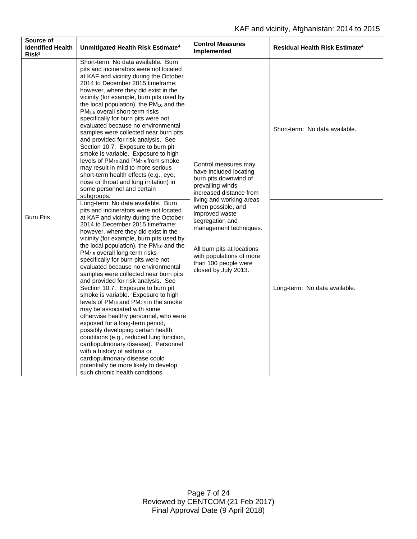| Source of<br><b>Identified Health</b><br>Risk <sup>3</sup> | Unmitigated Health Risk Estimate <sup>4</sup>                                                                                                                                                                                                                                                                                                                                                                                                                                                                                                                                                                                                                                                                                                                                                                                                                                                                                                                                                                                     | <b>Control Measures</b><br>Implemented                                                                                                                                                                                                                                                                                                             | <b>Residual Health Risk Estimate<sup>4</sup></b> |
|------------------------------------------------------------|-----------------------------------------------------------------------------------------------------------------------------------------------------------------------------------------------------------------------------------------------------------------------------------------------------------------------------------------------------------------------------------------------------------------------------------------------------------------------------------------------------------------------------------------------------------------------------------------------------------------------------------------------------------------------------------------------------------------------------------------------------------------------------------------------------------------------------------------------------------------------------------------------------------------------------------------------------------------------------------------------------------------------------------|----------------------------------------------------------------------------------------------------------------------------------------------------------------------------------------------------------------------------------------------------------------------------------------------------------------------------------------------------|--------------------------------------------------|
| <b>Burn Pits</b>                                           | Short-term: No data available. Burn<br>pits and incinerators were not located<br>at KAF and vicinity during the October<br>2014 to December 2015 timeframe;<br>however, where they did exist in the<br>vicinity (for example, burn pits used by<br>the local population), the PM <sub>10</sub> and the<br>PM <sub>2.5</sub> overall short-term risks<br>specifically for burn pits were not<br>evaluated because no environmental<br>samples were collected near burn pits<br>and provided for risk analysis. See<br>Section 10.7. Exposure to burn pit<br>smoke is variable. Exposure to high<br>levels of PM <sub>10</sub> and PM <sub>2.5</sub> from smoke<br>may result in mild to more serious<br>short-term health effects (e.g., eye,<br>nose or throat and lung irritation) in<br>some personnel and certain<br>subgroups.                                                                                                                                                                                                | Control measures may<br>have included locating<br>burn pits downwind of<br>prevailing winds,<br>increased distance from<br>living and working areas<br>when possible, and<br>improved waste<br>segregation and<br>management techniques.<br>All burn pits at locations<br>with populations of more<br>than 100 people were<br>closed by July 2013. | Short-term: No data available.                   |
|                                                            | Long-term: No data available. Burn<br>pits and incinerators were not located<br>at KAF and vicinity during the October<br>2014 to December 2015 timeframe;<br>however, where they did exist in the<br>vicinity (for example, burn pits used by<br>the local population), the PM10 and the<br>PM <sub>2.5</sub> overall long-term risks<br>specifically for burn pits were not<br>evaluated because no environmental<br>samples were collected near burn pits<br>and provided for risk analysis. See<br>Section 10.7. Exposure to burn pit<br>smoke is variable. Exposure to high<br>levels of PM <sub>10</sub> and PM <sub>2.5</sub> in the smoke<br>may be associated with some<br>otherwise healthy personnel, who were<br>exposed for a long-term period,<br>possibly developing certain health<br>conditions (e.g., reduced lung function,<br>cardiopulmonary disease). Personnel<br>with a history of asthma or<br>cardiopulmonary disease could<br>potentially be more likely to develop<br>such chronic health conditions. |                                                                                                                                                                                                                                                                                                                                                    | Long-term: No data available.                    |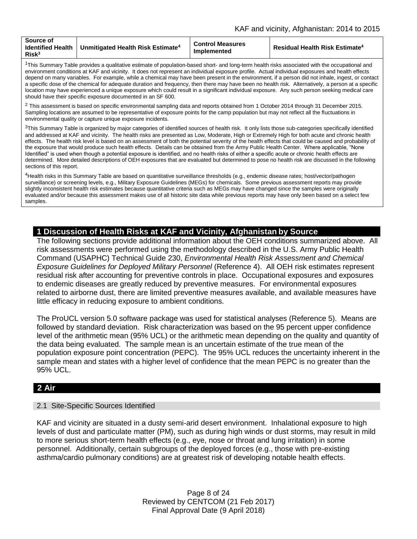| Source of<br><b>Identified Health</b> I<br>Risk <sup>3</sup> | $\mid$ Unmitigated Health Risk Estimate $^4$ | <b>Control Measures</b><br><b>Implemented</b> | <b>Residual Health Risk Estimate<sup>4</sup></b> |
|--------------------------------------------------------------|----------------------------------------------|-----------------------------------------------|--------------------------------------------------|
|--------------------------------------------------------------|----------------------------------------------|-----------------------------------------------|--------------------------------------------------|

<sup>1</sup>This Summary Table provides a qualitative estimate of population-based short- and long-term health risks associated with the occupational and environment conditions at KAF and vicinity. It does not represent an individual exposure profile. Actual individual exposures and health effects depend on many variables. For example, while a chemical may have been present in the environment, if a person did not inhale, ingest, or contact a specific dose of the chemical for adequate duration and frequency, then there may have been no health risk. Alternatively, a person at a specific location may have experienced a unique exposure which could result in a significant individual exposure. Any such person seeking medical care should have their specific exposure documented in an SF 600.

 $2$  This assessment is based on specific environmental sampling data and reports obtained from 1 October 2014 through 31 December 2015. Sampling locations are assumed to be representative of exposure points for the camp population but may not reflect all the fluctuations in environmental quality or capture unique exposure incidents.

<sup>3</sup>This Summary Table is organized by major categories of identified sources of health risk. It only lists those sub-categories specifically identified and addressed at KAF and vicinity. The health risks are presented as Low, Moderate, High or Extremely High for both acute and chronic health effects. The health risk level is based on an assessment of both the potential severity of the health effects that could be caused and probability of the exposure that would produce such health effects. Details can be obtained from the Army Public Health Center. Where applicable, "None Identified" is used when though a potential exposure is identified, and no health risks of either a specific acute or chronic health effects are determined. More detailed descriptions of OEH exposures that are evaluated but determined to pose no health risk are discussed in the following sections of this report.

<sup>4</sup>Health risks in this Summary Table are based on quantitative surveillance thresholds (e.g., endemic disease rates; host/vector/pathogen surveillance) or screening levels, e.g., Military Exposure Guidelines (MEGs) for chemicals. Some previous assessment reports may provide slightly inconsistent health risk estimates because quantitative criteria such as MEGs may have changed since the samples were originally evaluated and/or because this assessment makes use of all historic site data while previous reports may have only been based on a select few samples.

# **1 Discussion of Health Risks at KAF and Vicinity, Afghanistan by Source**

The following sections provide additional information about the OEH conditions summarized above. All risk assessments were performed using the methodology described in the U.S. Army Public Health Command (USAPHC) Technical Guide 230, *Environmental Health Risk Assessment and Chemical Exposure Guidelines for Deployed Military Personnel* (Reference 4). All OEH risk estimates represent residual risk after accounting for preventive controls in place. Occupational exposures and exposures to endemic diseases are greatly reduced by preventive measures. For environmental exposures related to airborne dust, there are limited preventive measures available, and available measures have little efficacy in reducing exposure to ambient conditions.

The ProUCL version 5.0 software package was used for statistical analyses (Reference 5). Means are followed by standard deviation. Risk characterization was based on the 95 percent upper confidence level of the arithmetic mean (95% UCL) or the arithmetic mean depending on the quality and quantity of the data being evaluated. The sample mean is an uncertain estimate of the true mean of the population exposure point concentration (PEPC). The 95% UCL reduces the uncertainty inherent in the sample mean and states with a higher level of confidence that the mean PEPC is no greater than the 95% UCL.

# **2 Air**

#### 2.1 Site-Specific Sources Identified

KAF and vicinity are situated in a dusty semi-arid desert environment. Inhalational exposure to high levels of dust and particulate matter (PM), such as during high winds or dust storms, may result in mild to more serious short-term health effects (e.g., eye, nose or throat and lung irritation) in some personnel. Additionally, certain subgroups of the deployed forces (e.g., those with pre-existing asthma/cardio pulmonary conditions) are at greatest risk of developing notable health effects.

> Page 8 of 24 Reviewed by CENTCOM (21 Feb 2017) Final Approval Date (9 April 2018)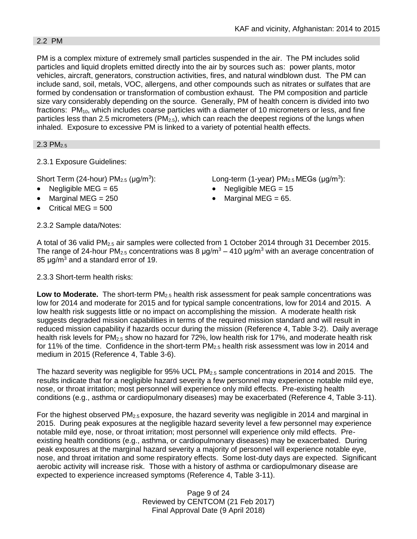#### 2.2 PM

PM is a complex mixture of extremely small particles suspended in the air. The PM includes solid particles and liquid droplets emitted directly into the air by sources such as: power plants, motor vehicles, aircraft, generators, construction activities, fires, and natural windblown dust. The PM can include sand, soil, metals, VOC, allergens, and other compounds such as nitrates or sulfates that are formed by condensation or transformation of combustion exhaust. The PM composition and particle size vary considerably depending on the source. Generally, PM of health concern is divided into two fractions:  $PM_{10}$ , which includes coarse particles with a diameter of 10 micrometers or less, and fine particles less than 2.5 micrometers (PM<sub>2.5</sub>), which can reach the deepest regions of the lungs when inhaled. Exposure to excessive PM is linked to a variety of potential health effects.

 $2.3$  PM<sub>2.5</sub>

2.3.1 Exposure Guidelines:

Short Term (24-hour)  $PM<sub>2.5</sub>$  ( $\mu$ g/m<sup>3</sup>):

- 
- 
- Critical MEG  $= 500$

): Long-term (1-year)  $PM<sub>2.5</sub> MEGs (µg/m<sup>3</sup>)$ :

- Negligible MEG = 65 Negligible MEG = 15
- Marginal MEG =  $250$   $\bullet$  Marginal MEG =  $65$ .

2.3.2 Sample data/Notes:

A total of 36 valid PM<sub>2.5</sub> air samples were collected from 1 October 2014 through 31 December 2015. The range of 24-hour PM<sub>2.5</sub> concentrations was 8  $\mu$ g/m<sup>3</sup> – 410  $\mu$ g/m<sup>3</sup> with an average concentration of 85 μg/m<sup>3</sup> and a standard error of 19.

2.3.3 Short-term health risks:

**Low to Moderate.** The short-term PM<sub>2.5</sub> health risk assessment for peak sample concentrations was low for 2014 and moderate for 2015 and for typical sample concentrations, low for 2014 and 2015. A low health risk suggests little or no impact on accomplishing the mission. A moderate health risk suggests degraded mission capabilities in terms of the required mission standard and will result in reduced mission capability if hazards occur during the mission (Reference 4, Table 3-2). Daily average health risk levels for PM<sub>2.5</sub> show no hazard for 72%, low health risk for 17%, and moderate health risk for 11% of the time. Confidence in the short-term  $PM_{2.5}$  health risk assessment was low in 2014 and medium in 2015 (Reference 4, Table 3-6).

The hazard severity was negligible for 95% UCL  $PM<sub>2.5</sub>$  sample concentrations in 2014 and 2015. The results indicate that for a negligible hazard severity a few personnel may experience notable mild eye, nose, or throat irritation; most personnel will experience only mild effects. Pre-existing health conditions (e.g., asthma or cardiopulmonary diseases) may be exacerbated (Reference 4, Table 3-11).

For the highest observed  $PM_{2.5}$  exposure, the hazard severity was negligible in 2014 and marginal in 2015. During peak exposures at the negligible hazard severity level a few personnel may experience notable mild eye, nose, or throat irritation; most personnel will experience only mild effects. Preexisting health conditions (e.g., asthma, or cardiopulmonary diseases) may be exacerbated. During peak exposures at the marginal hazard severity a majority of personnel will experience notable eve. nose, and throat irritation and some respiratory effects. Some lost-duty days are expected. Significant aerobic activity will increase risk. Those with a history of asthma or cardiopulmonary disease are expected to experience increased symptoms (Reference 4, Table 3-11).

> Page 9 of 24 Reviewed by CENTCOM (21 Feb 2017) Final Approval Date (9 April 2018)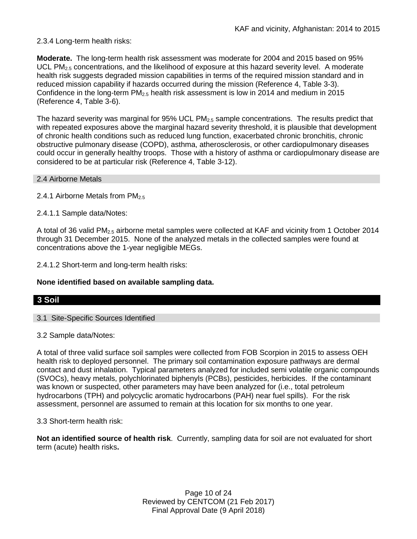# 2.3.4 Long-term health risks:

**Moderate.** The long-term health risk assessment was moderate for 2004 and 2015 based on 95% UCL PM<sub>2.5</sub> concentrations, and the likelihood of exposure at this hazard severity level. A moderate health risk suggests degraded mission capabilities in terms of the required mission standard and in reduced mission capability if hazards occurred during the mission (Reference 4, Table 3-3). Confidence in the long-term  $PM_{2.5}$  health risk assessment is low in 2014 and medium in 2015 (Reference 4, Table 3-6).

The hazard severity was marginal for  $95\%$  UCL PM<sub>2.5</sub> sample concentrations. The results predict that with repeated exposures above the marginal hazard severity threshold, it is plausible that development of chronic health conditions such as reduced lung function, exacerbated chronic bronchitis, chronic obstructive pulmonary disease (COPD), asthma, atherosclerosis, or other cardiopulmonary diseases could occur in generally healthy troops. Those with a history of asthma or cardiopulmonary disease are considered to be at particular risk (Reference 4, Table 3-12).

#### 2.4 Airborne Metals

2.4.1 Airborne Metals from  $PM_{2.5}$ 

2.4.1.1 Sample data/Notes:

A total of 36 valid PM<sub>2.5</sub> airborne metal samples were collected at KAF and vicinity from 1 October 2014 through 31 December 2015. None of the analyzed metals in the collected samples were found at concentrations above the 1-year negligible MEGs.

2.4.1.2 Short-term and long-term health risks:

# **None identified based on available sampling data.**

# **3 Soil**

3.1 Site-Specific Sources Identified

3.2 Sample data/Notes:

A total of three valid surface soil samples were collected from FOB Scorpion in 2015 to assess OEH health risk to deployed personnel. The primary soil contamination exposure pathways are dermal contact and dust inhalation. Typical parameters analyzed for included semi volatile organic compounds (SVOCs), heavy metals, polychlorinated biphenyls (PCBs), pesticides, herbicides. If the contaminant was known or suspected, other parameters may have been analyzed for (i.e., total petroleum hydrocarbons (TPH) and polycyclic aromatic hydrocarbons (PAH) near fuel spills). For the risk assessment, personnel are assumed to remain at this location for six months to one year.

3.3 Short-term health risk:

**Not an identified source of health risk**. Currently, sampling data for soil are not evaluated for short term (acute) health risks**.**

> Page 10 of 24 Reviewed by CENTCOM (21 Feb 2017) Final Approval Date (9 April 2018)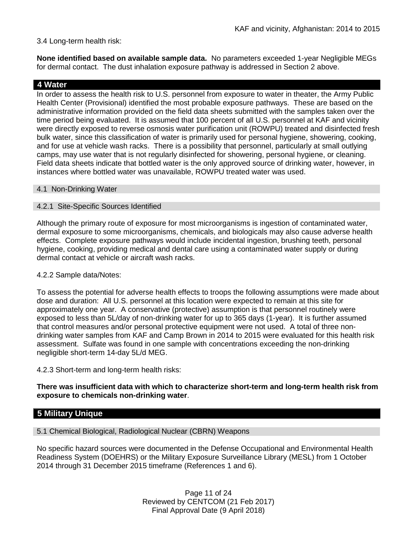#### 3.4 Long-term health risk:

**None identified based on available sample data.** No parameters exceeded 1-year Negligible MEGs for dermal contact. The dust inhalation exposure pathway is addressed in Section 2 above.

#### **4 Water**

In order to assess the health risk to U.S. personnel from exposure to water in theater, the Army Public Health Center (Provisional) identified the most probable exposure pathways. These are based on the administrative information provided on the field data sheets submitted with the samples taken over the time period being evaluated. It is assumed that 100 percent of all U.S. personnel at KAF and vicinity were directly exposed to reverse osmosis water purification unit (ROWPU) treated and disinfected fresh bulk water, since this classification of water is primarily used for personal hygiene, showering, cooking, and for use at vehicle wash racks. There is a possibility that personnel, particularly at small outlying camps, may use water that is not regularly disinfected for showering, personal hygiene, or cleaning. Field data sheets indicate that bottled water is the only approved source of drinking water, however, in instances where bottled water was unavailable, ROWPU treated water was used.

#### 4.1 Non-Drinking Water

#### 4.2.1 Site-Specific Sources Identified

Although the primary route of exposure for most microorganisms is ingestion of contaminated water, dermal exposure to some microorganisms, chemicals, and biologicals may also cause adverse health effects. Complete exposure pathways would include incidental ingestion, brushing teeth, personal hygiene, cooking, providing medical and dental care using a contaminated water supply or during dermal contact at vehicle or aircraft wash racks.

#### 4.2.2 Sample data/Notes:

To assess the potential for adverse health effects to troops the following assumptions were made about dose and duration: All U.S. personnel at this location were expected to remain at this site for approximately one year. A conservative (protective) assumption is that personnel routinely were exposed to less than 5L/day of non-drinking water for up to 365 days (1-year). It is further assumed that control measures and/or personal protective equipment were not used. A total of three nondrinking water samples from KAF and Camp Brown in 2014 to 2015 were evaluated for this health risk assessment. Sulfate was found in one sample with concentrations exceeding the non-drinking negligible short-term 14-day 5L/d MEG.

4.2.3 Short-term and long-term health risks:

**There was insufficient data with which to characterize short-term and long-term health risk from exposure to chemicals non-drinking water**.

# **5 Military Unique**

5.1 Chemical Biological, Radiological Nuclear (CBRN) Weapons

No specific hazard sources were documented in the Defense Occupational and Environmental Health Readiness System (DOEHRS) or the Military Exposure Surveillance Library (MESL) from 1 October 2014 through 31 December 2015 timeframe (References 1 and 6).

> Page 11 of 24 Reviewed by CENTCOM (21 Feb 2017) Final Approval Date (9 April 2018)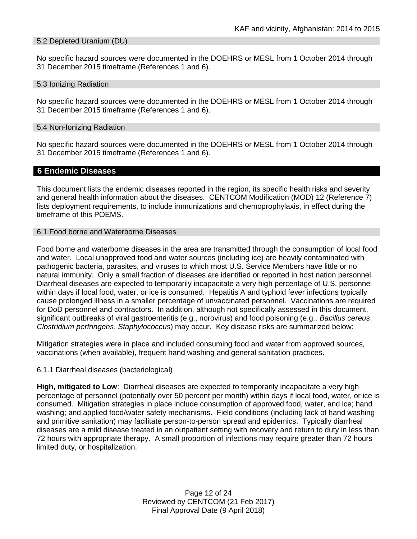#### 5.2 Depleted Uranium (DU)

No specific hazard sources were documented in the DOEHRS or MESL from 1 October 2014 through 31 December 2015 timeframe (References 1 and 6).

#### 5.3 Ionizing Radiation

No specific hazard sources were documented in the DOEHRS or MESL from 1 October 2014 through 31 December 2015 timeframe (References 1 and 6).

#### 5.4 Non-Ionizing Radiation

No specific hazard sources were documented in the DOEHRS or MESL from 1 October 2014 through 31 December 2015 timeframe (References 1 and 6).

#### **6 Endemic Diseases**

This document lists the endemic diseases reported in the region, its specific health risks and severity and general health information about the diseases. CENTCOM Modification (MOD) 12 (Reference 7) lists deployment requirements, to include immunizations and chemoprophylaxis, in effect during the timeframe of this POEMS.

#### 6.1 Food borne and Waterborne Diseases

Food borne and waterborne diseases in the area are transmitted through the consumption of local food and water. Local unapproved food and water sources (including ice) are heavily contaminated with pathogenic bacteria, parasites, and viruses to which most U.S. Service Members have little or no natural immunity. Only a small fraction of diseases are identified or reported in host nation personnel. Diarrheal diseases are expected to temporarily incapacitate a very high percentage of U.S. personnel within days if local food, water, or ice is consumed. Hepatitis A and typhoid fever infections typically cause prolonged illness in a smaller percentage of unvaccinated personnel. Vaccinations are required for DoD personnel and contractors. In addition, although not specifically assessed in this document, significant outbreaks of viral gastroenteritis (e.g., norovirus) and food poisoning (e.g., *Bacillus cereus*, *Clostridium perfringens*, *Staphylococcus*) may occur. Key disease risks are summarized below:

Mitigation strategies were in place and included consuming food and water from approved sources, vaccinations (when available), frequent hand washing and general sanitation practices.

#### 6.1.1 Diarrheal diseases (bacteriological)

**High, mitigated to Low**: Diarrheal diseases are expected to temporarily incapacitate a very high percentage of personnel (potentially over 50 percent per month) within days if local food, water, or ice is consumed. Mitigation strategies in place include consumption of approved food, water, and ice; hand washing; and applied food/water safety mechanisms. Field conditions (including lack of hand washing and primitive sanitation) may facilitate person-to-person spread and epidemics. Typically diarrheal diseases are a mild disease treated in an outpatient setting with recovery and return to duty in less than 72 hours with appropriate therapy. A small proportion of infections may require greater than 72 hours limited duty, or hospitalization.

> Page 12 of 24 Reviewed by CENTCOM (21 Feb 2017) Final Approval Date (9 April 2018)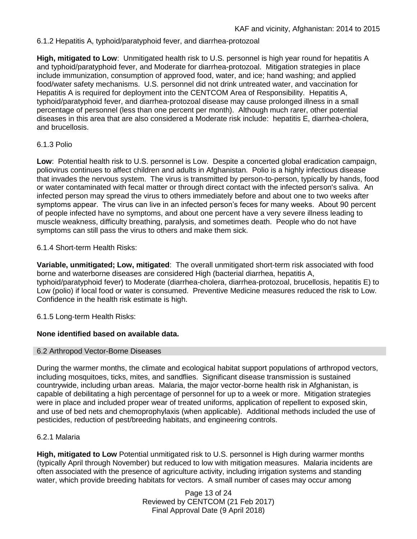6.1.2 Hepatitis A, typhoid/paratyphoid fever, and diarrhea-protozoal

**High, mitigated to Low**: Unmitigated health risk to U.S. personnel is high year round for hepatitis A and typhoid/paratyphoid fever, and Moderate for diarrhea-protozoal. Mitigation strategies in place include immunization, consumption of approved food, water, and ice; hand washing; and applied food/water safety mechanisms. U.S. personnel did not drink untreated water, and vaccination for Hepatitis A is required for deployment into the CENTCOM Area of Responsibility. Hepatitis A, typhoid/paratyphoid fever, and diarrhea-protozoal disease may cause prolonged illness in a small percentage of personnel (less than one percent per month). Although much rarer, other potential diseases in this area that are also considered a Moderate risk include: hepatitis E, diarrhea-cholera, and brucellosis.

# 6.1.3 Polio

**Low**: Potential health risk to U.S. personnel is Low. Despite a concerted global eradication campaign, poliovirus continues to affect children and adults in Afghanistan. Polio is a highly infectious disease that invades the nervous system. The virus is transmitted by person-to-person, typically by hands, food or water contaminated with fecal matter or through direct contact with the infected person's saliva. An infected person may spread the virus to others immediately before and about one to two weeks after symptoms appear. The virus can live in an infected person's feces for many weeks. About 90 percent of people infected have no symptoms, and about one percent have a very severe illness leading to muscle weakness, difficulty breathing, paralysis, and sometimes death. People who do not have symptoms can still pass the virus to others and make them sick.

#### 6.1.4 Short-term Health Risks:

**Variable, unmitigated; Low, mitigated**: The overall unmitigated short-term risk associated with food borne and waterborne diseases are considered High (bacterial diarrhea, hepatitis A, typhoid/paratyphoid fever) to Moderate (diarrhea-cholera, diarrhea-protozoal, brucellosis, hepatitis E) to Low (polio) if local food or water is consumed. Preventive Medicine measures reduced the risk to Low. Confidence in the health risk estimate is high.

6.1.5 Long-term Health Risks:

# **None identified based on available data.**

#### 6.2 Arthropod Vector-Borne Diseases

During the warmer months, the climate and ecological habitat support populations of arthropod vectors, including mosquitoes, ticks, mites, and sandflies. Significant disease transmission is sustained countrywide, including urban areas. Malaria, the major vector-borne health risk in Afghanistan, is capable of debilitating a high percentage of personnel for up to a week or more. Mitigation strategies were in place and included proper wear of treated uniforms, application of repellent to exposed skin, and use of bed nets and chemoprophylaxis (when applicable). Additional methods included the use of pesticides, reduction of pest/breeding habitats, and engineering controls.

# 6.2.1 Malaria

**High, mitigated to Low** Potential unmitigated risk to U.S. personnel is High during warmer months (typically April through November) but reduced to low with mitigation measures. Malaria incidents are often associated with the presence of agriculture activity, including irrigation systems and standing water, which provide breeding habitats for vectors. A small number of cases may occur among

> Page 13 of 24 Reviewed by CENTCOM (21 Feb 2017) Final Approval Date (9 April 2018)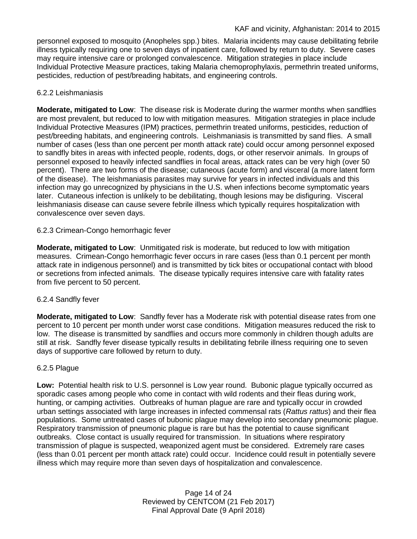personnel exposed to mosquito (Anopheles spp.) bites. Malaria incidents may cause debilitating febrile illness typically requiring one to seven days of inpatient care, followed by return to duty. Severe cases may require intensive care or prolonged convalescence. Mitigation strategies in place include Individual Protective Measure practices, taking Malaria chemoprophylaxis, permethrin treated uniforms, pesticides, reduction of pest/breading habitats, and engineering controls.

# 6.2.2 Leishmaniasis

**Moderate, mitigated to Low**: The disease risk is Moderate during the warmer months when sandflies are most prevalent, but reduced to low with mitigation measures. Mitigation strategies in place include Individual Protective Measures (IPM) practices, permethrin treated uniforms, pesticides, reduction of pest/breeding habitats, and engineering controls. Leishmaniasis is transmitted by sand flies. A small number of cases (less than one percent per month attack rate) could occur among personnel exposed to sandfly bites in areas with infected people, rodents, dogs, or other reservoir animals. In groups of personnel exposed to heavily infected sandflies in focal areas, attack rates can be very high (over 50 percent). There are two forms of the disease; cutaneous (acute form) and visceral (a more latent form of the disease). The leishmaniasis parasites may survive for years in infected individuals and this infection may go unrecognized by physicians in the U.S. when infections become symptomatic years later. Cutaneous infection is unlikely to be debilitating, though lesions may be disfiguring. Visceral leishmaniasis disease can cause severe febrile illness which typically requires hospitalization with convalescence over seven days.

# 6.2.3 Crimean-Congo hemorrhagic fever

**Moderate, mitigated to Low**: Unmitigated risk is moderate, but reduced to low with mitigation measures. Crimean-Congo hemorrhagic fever occurs in rare cases (less than 0.1 percent per month attack rate in indigenous personnel) and is transmitted by tick bites or occupational contact with blood or secretions from infected animals. The disease typically requires intensive care with fatality rates from five percent to 50 percent.

# 6.2.4 Sandfly fever

**Moderate, mitigated to Low**: Sandfly fever has a Moderate risk with potential disease rates from one percent to 10 percent per month under worst case conditions. Mitigation measures reduced the risk to low. The disease is transmitted by sandflies and occurs more commonly in children though adults are still at risk. Sandfly fever disease typically results in debilitating febrile illness requiring one to seven days of supportive care followed by return to duty.

# 6.2.5 Plague

**Low:** Potential health risk to U.S. personnel is Low year round. Bubonic plague typically occurred as sporadic cases among people who come in contact with wild rodents and their fleas during work, hunting, or camping activities. Outbreaks of human plague are rare and typically occur in crowded urban settings associated with large increases in infected commensal rats (*Rattus rattus*) and their flea populations. Some untreated cases of bubonic plague may develop into secondary pneumonic plague. Respiratory transmission of pneumonic plague is rare but has the potential to cause significant outbreaks. Close contact is usually required for transmission. In situations where respiratory transmission of plague is suspected, weaponized agent must be considered. Extremely rare cases (less than 0.01 percent per month attack rate) could occur. Incidence could result in potentially severe illness which may require more than seven days of hospitalization and convalescence.

> Page 14 of 24 Reviewed by CENTCOM (21 Feb 2017) Final Approval Date (9 April 2018)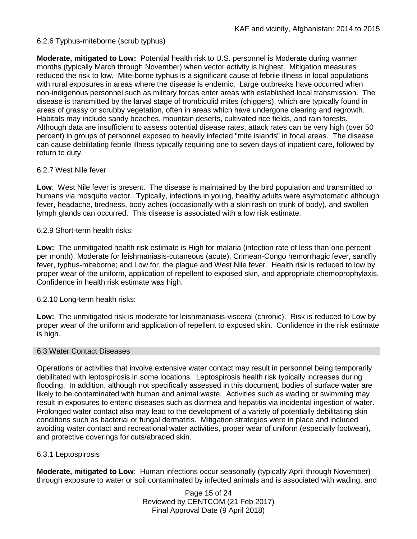# 6.2.6 Typhus-miteborne (scrub typhus)

**Moderate, mitigated to Low:** Potential health risk to U.S. personnel is Moderate during warmer months (typically March through November) when vector activity is highest. Mitigation measures reduced the risk to low. Mite-borne typhus is a significant cause of febrile illness in local populations with rural exposures in areas where the disease is endemic. Large outbreaks have occurred when non-indigenous personnel such as military forces enter areas with established local transmission. The disease is transmitted by the larval stage of trombiculid mites (chiggers), which are typically found in areas of grassy or scrubby vegetation, often in areas which have undergone clearing and regrowth. Habitats may include sandy beaches, mountain deserts, cultivated rice fields, and rain forests. Although data are insufficient to assess potential disease rates, attack rates can be very high (over 50 percent) in groups of personnel exposed to heavily infected "mite islands" in focal areas. The disease can cause debilitating febrile illness typically requiring one to seven days of inpatient care, followed by return to duty.

# 6.2.7 West Nile fever

**Low**: West Nile fever is present. The disease is maintained by the bird population and transmitted to humans via mosquito vector. Typically, infections in young, healthy adults were asymptomatic although fever, headache, tiredness, body aches (occasionally with a skin rash on trunk of body), and swollen lymph glands can occurred. This disease is associated with a low risk estimate.

#### 6.2.9 Short-term health risks:

**Low:** The unmitigated health risk estimate is High for malaria (infection rate of less than one percent per month), Moderate for leishmaniasis-cutaneous (acute), Crimean-Congo hemorrhagic fever, sandfly fever, typhus-miteborne; and Low for, the plague and West Nile fever. Health risk is reduced to low by proper wear of the uniform, application of repellent to exposed skin, and appropriate chemoprophylaxis. Confidence in health risk estimate was high.

# 6.2.10 Long-term health risks:

**Low:** The unmitigated risk is moderate for leishmaniasis-visceral (chronic). Risk is reduced to Low by proper wear of the uniform and application of repellent to exposed skin. Confidence in the risk estimate is high.

#### 6.3 Water Contact Diseases

Operations or activities that involve extensive water contact may result in personnel being temporarily debilitated with leptospirosis in some locations. Leptospirosis health risk typically increases during flooding. In addition, although not specifically assessed in this document, bodies of surface water are likely to be contaminated with human and animal waste. Activities such as wading or swimming may result in exposures to enteric diseases such as diarrhea and hepatitis via incidental ingestion of water. Prolonged water contact also may lead to the development of a variety of potentially debilitating skin conditions such as bacterial or fungal dermatitis. Mitigation strategies were in place and included avoiding water contact and recreational water activities, proper wear of uniform (especially footwear), and protective coverings for cuts/abraded skin.

# 6.3.1 Leptospirosis

**Moderate, mitigated to Low**: Human infections occur seasonally (typically April through November) through exposure to water or soil contaminated by infected animals and is associated with wading, and

> Page 15 of 24 Reviewed by CENTCOM (21 Feb 2017) Final Approval Date (9 April 2018)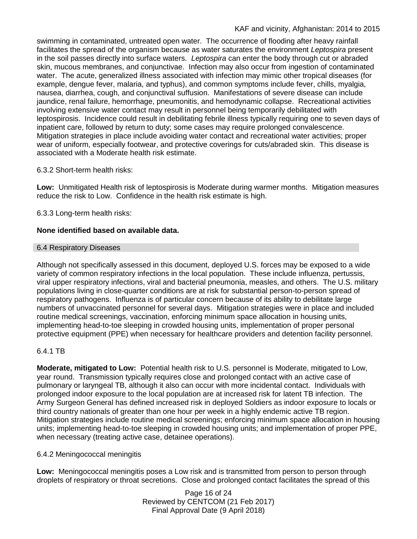swimming in contaminated, untreated open water. The occurrence of flooding after heavy rainfall facilitates the spread of the organism because as water saturates the environment *Leptospira* present in the soil passes directly into surface waters. *Leptospira* can enter the body through cut or abraded skin, mucous membranes, and conjunctivae. Infection may also occur from ingestion of contaminated water. The acute, generalized illness associated with infection may mimic other tropical diseases (for example, dengue fever, malaria, and typhus), and common symptoms include fever, chills, myalgia, nausea, diarrhea, cough, and conjunctival suffusion. Manifestations of severe disease can include jaundice, renal failure, hemorrhage, pneumonitis, and hemodynamic collapse. Recreational activities involving extensive water contact may result in personnel being temporarily debilitated with leptospirosis. Incidence could result in debilitating febrile illness typically requiring one to seven days of inpatient care, followed by return to duty; some cases may require prolonged convalescence. Mitigation strategies in place include avoiding water contact and recreational water activities; proper wear of uniform, especially footwear, and protective coverings for cuts/abraded skin. This disease is associated with a Moderate health risk estimate.

# 6.3.2 Short-term health risks:

**Low:** Unmitigated Health risk of leptospirosis is Moderate during warmer months. Mitigation measures reduce the risk to Low. Confidence in the health risk estimate is high.

6.3.3 Long-term health risks:

# **None identified based on available data.**

#### 6.4 Respiratory Diseases

Although not specifically assessed in this document, deployed U.S. forces may be exposed to a wide variety of common respiratory infections in the local population. These include influenza, pertussis, viral upper respiratory infections, viral and bacterial pneumonia, measles, and others. The U.S. military populations living in close-quarter conditions are at risk for substantial person-to-person spread of respiratory pathogens. Influenza is of particular concern because of its ability to debilitate large numbers of unvaccinated personnel for several days. Mitigation strategies were in place and included routine medical screenings, vaccination, enforcing minimum space allocation in housing units, implementing head-to-toe sleeping in crowded housing units, implementation of proper personal protective equipment (PPE) when necessary for healthcare providers and detention facility personnel.

# 6.4.1 TB

**Moderate, mitigated to Low:** Potential health risk to U.S. personnel is Moderate, mitigated to Low, year round. Transmission typically requires close and prolonged contact with an active case of pulmonary or laryngeal TB, although it also can occur with more incidental contact. Individuals with prolonged indoor exposure to the local population are at increased risk for latent TB infection. The Army Surgeon General has defined increased risk in deployed Soldiers as indoor exposure to locals or third country nationals of greater than one hour per week in a highly endemic active TB region. Mitigation strategies include routine medical screenings; enforcing minimum space allocation in housing units; implementing head-to-toe sleeping in crowded housing units; and implementation of proper PPE, when necessary (treating active case, detainee operations).

# 6.4.2 Meningococcal meningitis

**Low:** Meningococcal meningitis poses a Low risk and is transmitted from person to person through droplets of respiratory or throat secretions. Close and prolonged contact facilitates the spread of this

> Page 16 of 24 Reviewed by CENTCOM (21 Feb 2017) Final Approval Date (9 April 2018)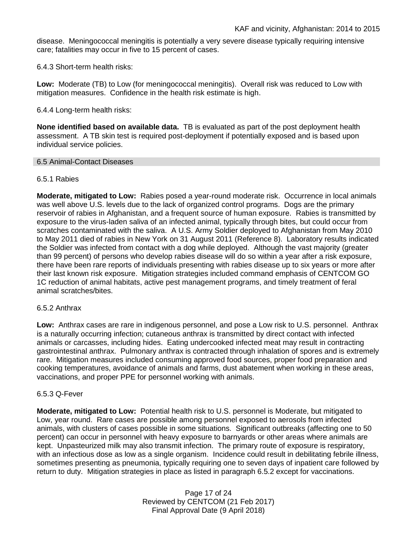disease. Meningococcal meningitis is potentially a very severe disease typically requiring intensive care; fatalities may occur in five to 15 percent of cases.

6.4.3 Short-term health risks:

**Low:** Moderate (TB) to Low (for meningococcal meningitis). Overall risk was reduced to Low with mitigation measures. Confidence in the health risk estimate is high.

6.4.4 Long-term health risks:

**None identified based on available data.** TB is evaluated as part of the post deployment health assessment. A TB skin test is required post-deployment if potentially exposed and is based upon individual service policies.

#### 6.5 Animal-Contact Diseases

#### 6.5.1 Rabies

**Moderate, mitigated to Low:** Rabies posed a year-round moderate risk. Occurrence in local animals was well above U.S. levels due to the lack of organized control programs. Dogs are the primary reservoir of rabies in Afghanistan, and a frequent source of human exposure. Rabies is transmitted by exposure to the virus-laden saliva of an infected animal, typically through bites, but could occur from scratches contaminated with the saliva. A U.S. Army Soldier deployed to Afghanistan from May 2010 to May 2011 died of rabies in New York on 31 August 2011 (Reference 8). Laboratory results indicated the Soldier was infected from contact with a dog while deployed. Although the vast majority (greater than 99 percent) of persons who develop rabies disease will do so within a year after a risk exposure, there have been rare reports of individuals presenting with rabies disease up to six years or more after their last known risk exposure. Mitigation strategies included command emphasis of CENTCOM GO 1C reduction of animal habitats, active pest management programs, and timely treatment of feral animal scratches/bites.

#### 6.5.2 Anthrax

**Low:** Anthrax cases are rare in indigenous personnel, and pose a Low risk to U.S. personnel. Anthrax is a naturally occurring infection; cutaneous anthrax is transmitted by direct contact with infected animals or carcasses, including hides. Eating undercooked infected meat may result in contracting gastrointestinal anthrax. Pulmonary anthrax is contracted through inhalation of spores and is extremely rare. Mitigation measures included consuming approved food sources, proper food preparation and cooking temperatures, avoidance of animals and farms, dust abatement when working in these areas, vaccinations, and proper PPE for personnel working with animals.

#### 6.5.3 Q-Fever

**Moderate, mitigated to Low:** Potential health risk to U.S. personnel is Moderate, but mitigated to Low, year round. Rare cases are possible among personnel exposed to aerosols from infected animals, with clusters of cases possible in some situations. Significant outbreaks (affecting one to 50 percent) can occur in personnel with heavy exposure to barnyards or other areas where animals are kept. Unpasteurized milk may also transmit infection. The primary route of exposure is respiratory, with an infectious dose as low as a single organism. Incidence could result in debilitating febrile illness, sometimes presenting as pneumonia, typically requiring one to seven days of inpatient care followed by return to duty. Mitigation strategies in place as listed in paragraph 6.5.2 except for vaccinations.

> Page 17 of 24 Reviewed by CENTCOM (21 Feb 2017) Final Approval Date (9 April 2018)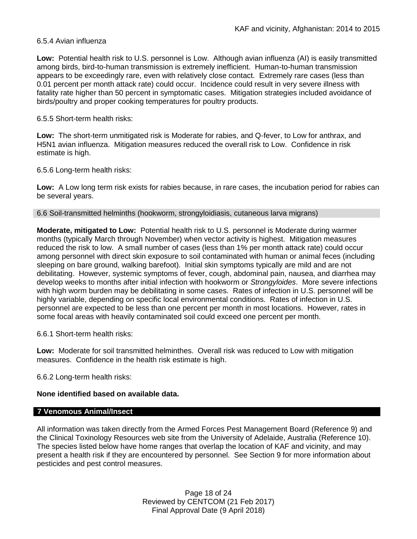#### 6.5.4 Avian influenza

**Low:** Potential health risk to U.S. personnel is Low. Although avian influenza (AI) is easily transmitted among birds, bird-to-human transmission is extremely inefficient. Human-to-human transmission appears to be exceedingly rare, even with relatively close contact. Extremely rare cases (less than 0.01 percent per month attack rate) could occur. Incidence could result in very severe illness with fatality rate higher than 50 percent in symptomatic cases. Mitigation strategies included avoidance of birds/poultry and proper cooking temperatures for poultry products.

#### 6.5.5 Short-term health risks:

**Low:** The short-term unmitigated risk is Moderate for rabies, and Q-fever, to Low for anthrax, and H5N1 avian influenza. Mitigation measures reduced the overall risk to Low.Confidence in risk estimate is high.

6.5.6 Long-term health risks:

**Low:** A Low long term risk exists for rabies because, in rare cases, the incubation period for rabies can be several years.

#### 6.6 Soil-transmitted helminths (hookworm, strongyloidiasis, cutaneous larva migrans)

**Moderate, mitigated to Low:** Potential health risk to U.S. personnel is Moderate during warmer months (typically March through November) when vector activity is highest. Mitigation measures reduced the risk to low. A small number of cases (less than 1% per month attack rate) could occur among personnel with direct skin exposure to soil contaminated with human or animal feces (including sleeping on bare ground, walking barefoot). Initial skin symptoms typically are mild and are not debilitating. However, systemic symptoms of fever, cough, abdominal pain, nausea, and diarrhea may develop weeks to months after initial infection with hookworm or *Strongyloides*. More severe infections with high worm burden may be debilitating in some cases. Rates of infection in U.S. personnel will be highly variable, depending on specific local environmental conditions. Rates of infection in U.S. personnel are expected to be less than one percent per month in most locations. However, rates in some focal areas with heavily contaminated soil could exceed one percent per month.

6.6.1 Short-term health risks:

**Low:** Moderate for soil transmitted helminthes. Overall risk was reduced to Low with mitigation measures. Confidence in the health risk estimate is high.

6.6.2 Long-term health risks:

# **None identified based on available data.**

# **7 Venomous Animal/Insect**

All information was taken directly from the Armed Forces Pest Management Board (Reference 9) and the Clinical Toxinology Resources web site from the University of Adelaide, Australia (Reference 10). The species listed below have home ranges that overlap the location of KAF and vicinity, and may present a health risk if they are encountered by personnel. See Section 9 for more information about pesticides and pest control measures.

> Page 18 of 24 Reviewed by CENTCOM (21 Feb 2017) Final Approval Date (9 April 2018)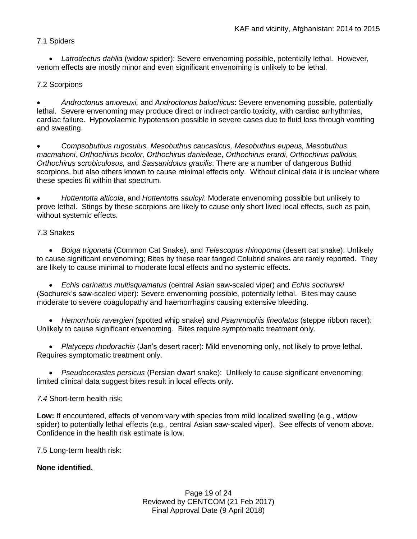# 7.1 Spiders

 *Latrodectus dahlia* (widow spider): Severe envenoming possible, potentially lethal. However, venom effects are mostly minor and even significant envenoming is unlikely to be lethal.

# 7.2 Scorpions

 *Androctonus amoreuxi,* and *Androctonus baluchicus*: Severe envenoming possible, potentially lethal. Severe envenoming may produce direct or indirect cardio toxicity, with cardiac arrhythmias, cardiac failure. Hypovolaemic hypotension possible in severe cases due to fluid loss through vomiting and sweating.

 *Compsobuthus rugosulus, Mesobuthus caucasicus, Mesobuthus eupeus, Mesobuthus macmahoni, Orthochirus bicolor, Orthochirus danielleae*, *Orthochirus erardi*, *Orthochirus pallidus, Orthochirus scrobiculosus,* and *Sassanidotus gracilis*: There are a number of dangerous Buthid scorpions, but also others known to cause minimal effects only. Without clinical data it is unclear where these species fit within that spectrum.

 *Hottentotta alticola*, and *Hottentotta saulcyi*: Moderate envenoming possible but unlikely to prove lethal. Stings by these scorpions are likely to cause only short lived local effects, such as pain, without systemic effects.

# 7.3 Snakes

 *[Boiga](http://www.toxinology.com/fusebox.cfm?fuseaction=main.snakes.display&id=SN0722) [trigonata](http://www.toxinology.com/fusebox.cfm?fuseaction=main.snakes.display&id=SN0722)* (Common Cat Snake), and *Telescopus rhinopoma* (desert cat snake): Unlikely to cause significant envenoming; Bites by these rear fanged Colubrid snakes are rarely reported. They are likely to cause minimal to moderate local effects and no systemic effects.

 *Echis carinatus multisquamatus* (central Asian saw-scaled viper) and *Echis sochureki* (Sochurek's saw-scaled viper): Severe envenoming possible, potentially lethal. Bites may cause moderate to severe coagulopathy and haemorrhagins causing extensive bleeding.

 *Hemorrhois ravergieri* (spotted whip snake) and *Psammophis lineolatus* (steppe ribbon racer): Unlikely to cause significant envenoming. Bites require symptomatic treatment only.

 *Platyceps rhodorachis* (Jan's desert racer): Mild envenoming only, not likely to prove lethal. Requires symptomatic treatment only.

 *Pseudocerastes persicus* (Persian dwarf snake): Unlikely to cause significant envenoming; limited clinical data suggest bites result in local effects only.

# *7.4* Short-term health risk:

**Low:** If encountered, effects of venom vary with species from mild localized swelling (e.g., widow spider) to potentially lethal effects (e.g., central Asian saw-scaled viper). See effects of venom above. Confidence in the health risk estimate is low.

7.5 Long-term health risk:

# **None identified.**

Page 19 of 24 Reviewed by CENTCOM (21 Feb 2017) Final Approval Date (9 April 2018)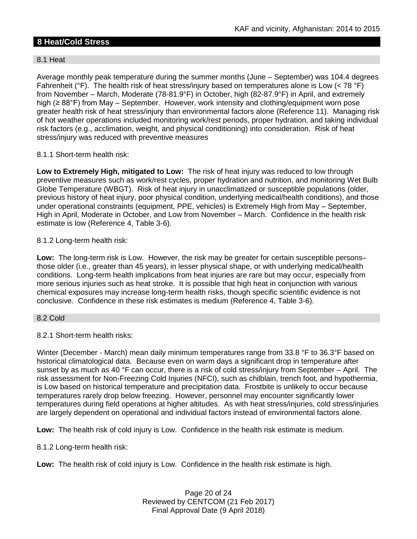# **8 Heat/Cold Stress**

# 8.1 Heat

Average monthly peak temperature during the summer months (June – September) was 104.4 degrees Fahrenheit ( ${}^{\circ}$ F). The health risk of heat stress/injury based on temperatures alone is Low (< 78  ${}^{\circ}$ F) from November – March, Moderate (78-81.9°F) in October, high (82-87.9°F) in April, and extremely high (≥ 88°F) from May – September. However, work intensity and clothing/equipment worn pose greater health risk of heat stress/injury than environmental factors alone (Reference 11). Managing risk of hot weather operations included monitoring work/rest periods, proper hydration, and taking individual risk factors (e.g., acclimation, weight, and physical conditioning) into consideration. Risk of heat stress/injury was reduced with preventive measures

# 8.1.1 Short-term health risk:

**Low to Extremely High, mitigated to Low:** The risk of heat injury was reduced to low through preventive measures such as work/rest cycles, proper hydration and nutrition, and monitoring Wet Bulb Globe Temperature (WBGT). Risk of heat injury in unacclimatized or susceptible populations (older, previous history of heat injury, poor physical condition, underlying medical/health conditions), and those under operational constraints (equipment, PPE, vehicles) is Extremely High from May – September, High in April, Moderate in October, and Low from November – March. Confidence in the health risk estimate is low (Reference 4, Table 3-6).

8.1.2 Long-term health risk:

**Low:** The long-term risk is Low. However, the risk may be greater for certain susceptible persons– those older (i.e., greater than 45 years), in lesser physical shape, or with underlying medical/health conditions. Long-term health implications from heat injuries are rare but may occur, especially from more serious injuries such as heat stroke. It is possible that high heat in conjunction with various chemical exposures may increase long-term health risks, though specific scientific evidence is not conclusive. Confidence in these risk estimates is medium (Reference 4, Table 3-6).

# 8.2 Cold

8.2.1 Short-term health risks:

Winter (December - March) mean daily minimum temperatures range from 33.8 °F to 36.3°F based on historical climatological data. Because even on warm days a significant drop in temperature after sunset by as much as 40 °F can occur, there is a risk of cold stress/injury from September – April. The risk assessment for Non-Freezing Cold Injuries (NFCI), such as chilblain, trench foot, and hypothermia, is Low based on historical temperature and precipitation data. Frostbite is unlikely to occur because temperatures rarely drop below freezing. However, personnel may encounter significantly lower temperatures during field operations at higher altitudes. As with heat stress/injuries, cold stress/injuries are largely dependent on operational and individual factors instead of environmental factors alone.

**Low:** The health risk of cold injury is Low. Confidence in the health risk estimate is medium.

8.1.2 Long-term health risk:

**Low:** The health risk of cold injury is Low. Confidence in the health risk estimate is high.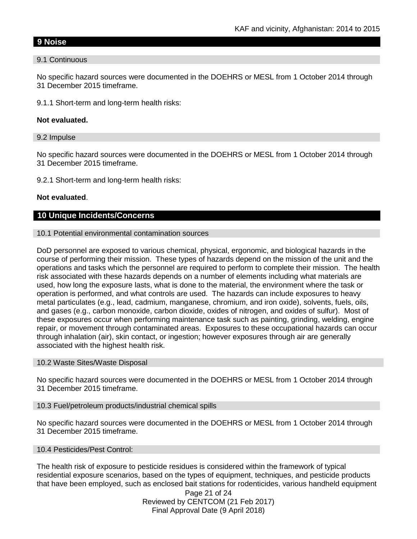# **9 Noise**

#### 9.1 Continuous

No specific hazard sources were documented in the DOEHRS or MESL from 1 October 2014 through 31 December 2015 timeframe.

9.1.1 Short-term and long-term health risks:

#### **Not evaluated.**

#### 9.2 Impulse

No specific hazard sources were documented in the DOEHRS or MESL from 1 October 2014 through 31 December 2015 timeframe.

9.2.1 Short-term and long-term health risks:

#### **Not evaluated**.

# **10 Unique Incidents/Concerns**

#### 10.1 Potential environmental contamination sources

DoD personnel are exposed to various chemical, physical, ergonomic, and biological hazards in the course of performing their mission. These types of hazards depend on the mission of the unit and the operations and tasks which the personnel are required to perform to complete their mission. The health risk associated with these hazards depends on a number of elements including what materials are used, how long the exposure lasts, what is done to the material, the environment where the task or operation is performed, and what controls are used. The hazards can include exposures to heavy metal particulates (e.g., lead, cadmium, manganese, chromium, and iron oxide), solvents, fuels, oils, and gases (e.g., carbon monoxide, carbon dioxide, oxides of nitrogen, and oxides of sulfur). Most of these exposures occur when performing maintenance task such as painting, grinding, welding, engine repair, or movement through contaminated areas. Exposures to these occupational hazards can occur through inhalation (air), skin contact, or ingestion; however exposures through air are generally associated with the highest health risk.

#### 10.2 Waste Sites/Waste Disposal

No specific hazard sources were documented in the DOEHRS or MESL from 1 October 2014 through 31 December 2015 timeframe.

#### 10.3 Fuel/petroleum products/industrial chemical spills

No specific hazard sources were documented in the DOEHRS or MESL from 1 October 2014 through 31 December 2015 timeframe.

#### 10.4 Pesticides/Pest Control:

The health risk of exposure to pesticide residues is considered within the framework of typical residential exposure scenarios, based on the types of equipment, techniques, and pesticide products that have been employed, such as enclosed bait stations for rodenticides, various handheld equipment

> Page 21 of 24 Reviewed by CENTCOM (21 Feb 2017) Final Approval Date (9 April 2018)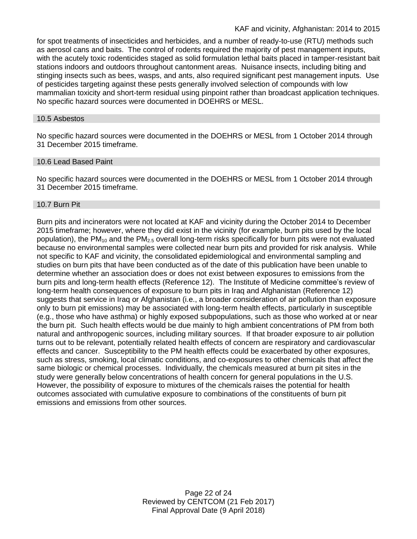for spot treatments of insecticides and herbicides, and a number of ready-to-use (RTU) methods such as aerosol cans and baits. The control of rodents required the majority of pest management inputs, with the acutely toxic rodenticides staged as solid formulation lethal baits placed in tamper-resistant bait stations indoors and outdoors throughout cantonment areas. Nuisance insects, including biting and stinging insects such as bees, wasps, and ants, also required significant pest management inputs. Use of pesticides targeting against these pests generally involved selection of compounds with low mammalian toxicity and short-term residual using pinpoint rather than broadcast application techniques. No specific hazard sources were documented in DOEHRS or MESL.

#### 10.5 Asbestos

No specific hazard sources were documented in the DOEHRS or MESL from 1 October 2014 through 31 December 2015 timeframe.

#### 10.6 Lead Based Paint

No specific hazard sources were documented in the DOEHRS or MESL from 1 October 2014 through 31 December 2015 timeframe.

#### 10.7 Burn Pit

Burn pits and incinerators were not located at KAF and vicinity during the October 2014 to December 2015 timeframe; however, where they did exist in the vicinity (for example, burn pits used by the local population), the  $PM_{10}$  and the  $PM_{2.5}$  overall long-term risks specifically for burn pits were not evaluated because no environmental samples were collected near burn pits and provided for risk analysis. While not specific to KAF and vicinity, the consolidated epidemiological and environmental sampling and studies on burn pits that have been conducted as of the date of this publication have been unable to determine whether an association does or does not exist between exposures to emissions from the burn pits and long-term health effects (Reference 12). The Institute of Medicine committee's review of long-term health consequences of exposure to burn pits in Iraq and Afghanistan (Reference 12) suggests that service in Iraq or Afghanistan (i.e., a broader consideration of air pollution than exposure only to burn pit emissions) may be associated with long-term health effects, particularly in susceptible (e.g., those who have asthma) or highly exposed subpopulations, such as those who worked at or near the burn pit. Such health effects would be due mainly to high ambient concentrations of PM from both natural and anthropogenic sources, including military sources. If that broader exposure to air pollution turns out to be relevant, potentially related health effects of concern are respiratory and cardiovascular effects and cancer. Susceptibility to the PM health effects could be exacerbated by other exposures, such as stress, smoking, local climatic conditions, and co-exposures to other chemicals that affect the same biologic or chemical processes. Individually, the chemicals measured at burn pit sites in the study were generally below concentrations of health concern for general populations in the U.S. However, the possibility of exposure to mixtures of the chemicals raises the potential for health outcomes associated with cumulative exposure to combinations of the constituents of burn pit emissions and emissions from other sources.

> Page 22 of 24 Reviewed by CENTCOM (21 Feb 2017) Final Approval Date (9 April 2018)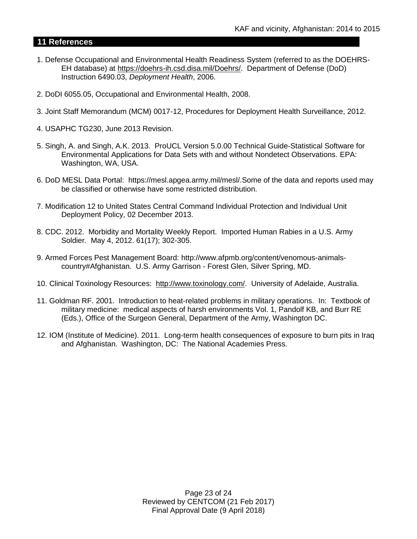# **11 References**

- 1. Defense Occupational and Environmental Health Readiness System (referred to as the DOEHRS-EH database) at [https://doehrs-ih.csd.disa.mil/Doehrs/.](https://doehrs-ih.csd.disa.mil/Doehrs/) Department of Defense (DoD) Instruction 6490.03, *Deployment Health*, 2006.
- 2. DoDI 6055.05, Occupational and Environmental Health, 2008.
- 3. Joint Staff Memorandum (MCM) 0017-12, Procedures for Deployment Health Surveillance, 2012.
- 4. USAPHC TG230, June 2013 Revision.
- 5. Singh, A. and Singh, A.K. 2013. ProUCL Version 5.0.00 Technical Guide-Statistical Software for Environmental Applications for Data Sets with and without Nondetect Observations. EPA: Washington, WA, USA.
- 6. DoD MESL Data Portal: https://mesl.apgea.army.mil/mesl/.Some of the data and reports used may be classified or otherwise have some restricted distribution.
- 7. Modification 12 to United States Central Command Individual Protection and Individual Unit Deployment Policy, 02 December 2013.
- 8. CDC. 2012. Morbidity and Mortality Weekly Report. Imported Human Rabies in a U.S. Army Soldier. May 4, 2012. 61(17); 302-305.
- 9. Armed Forces Pest Management Board: http://www.afpmb.org/content/venomous-animalscountry#Afghanistan. U.S. Army Garrison - Forest Glen, Silver Spring, MD.
- 10. Clinical Toxinology Resources: [http://www.toxinology.com/.](http://www.toxinology.com/) University of Adelaide, Australia.
- 11. Goldman RF. 2001. Introduction to heat-related problems in military operations. In: Textbook of military medicine: medical aspects of harsh environments Vol. 1, Pandolf KB, and Burr RE (Eds.), Office of the Surgeon General, Department of the Army, Washington DC.
- 12. IOM (Institute of Medicine). 2011. Long-term health consequences of exposure to burn pits in Iraq and Afghanistan. Washington, DC: The National Academies Press.